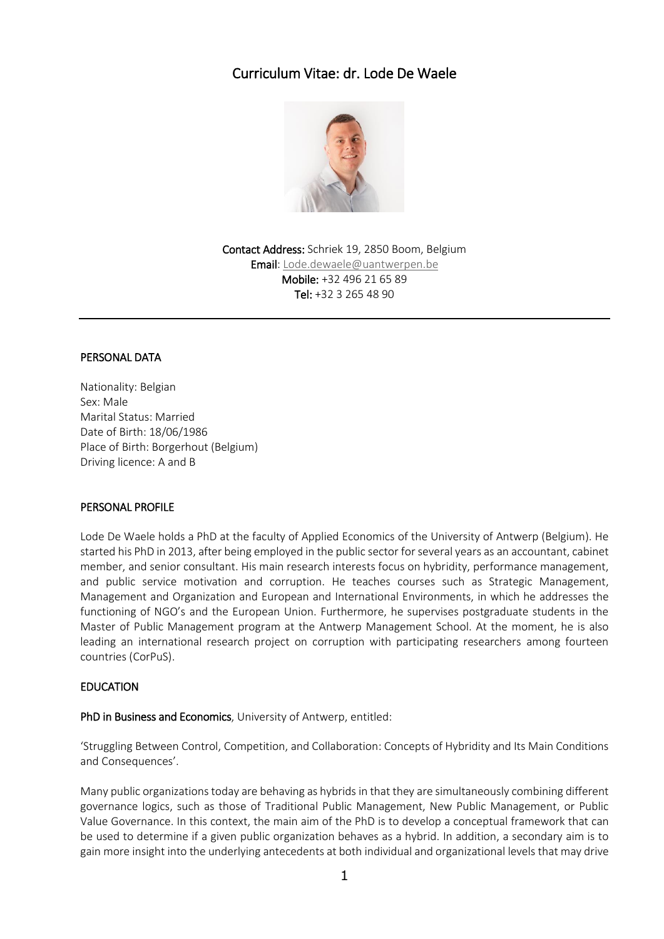# Curriculum Vitae: dr. Lode De Waele



Contact Address: Schriek 19, 2850 Boom, Belgium **Email:** [Lode.dewaele@uantwerpen.be](mailto:Lode.dewaele@uantwerpen.be) Mobile: +32 496 21 65 89 Tel: +32 3 265 48 90

## PERSONAL DATA

Nationality: Belgian Sex: Male Marital Status: Married Date of Birth: 18/06/1986 Place of Birth: Borgerhout (Belgium) Driving licence: A and B

## PERSONAL PROFILE

Lode De Waele holds a PhD at the faculty of Applied Economics of the University of Antwerp (Belgium). He started his PhD in 2013, after being employed in the public sector for several years as an accountant, cabinet member, and senior consultant. His main research interests focus on hybridity, performance management, and public service motivation and corruption. He teaches courses such as Strategic Management, Management and Organization and European and International Environments, in which he addresses the functioning of NGO's and the European Union. Furthermore, he supervises postgraduate students in the Master of Public Management program at the Antwerp Management School. At the moment, he is also leading an international research project on corruption with participating researchers among fourteen countries (CorPuS).

# EDUCATION

PhD in Business and Economics, University of Antwerp, entitled:

'Struggling Between Control, Competition, and Collaboration: Concepts of Hybridity and Its Main Conditions and Consequences'.

Many public organizations today are behaving as hybrids in that they are simultaneously combining different governance logics, such as those of Traditional Public Management, New Public Management, or Public Value Governance. In this context, the main aim of the PhD is to develop a conceptual framework that can be used to determine if a given public organization behaves as a hybrid. In addition, a secondary aim is to gain more insight into the underlying antecedents at both individual and organizational levels that may drive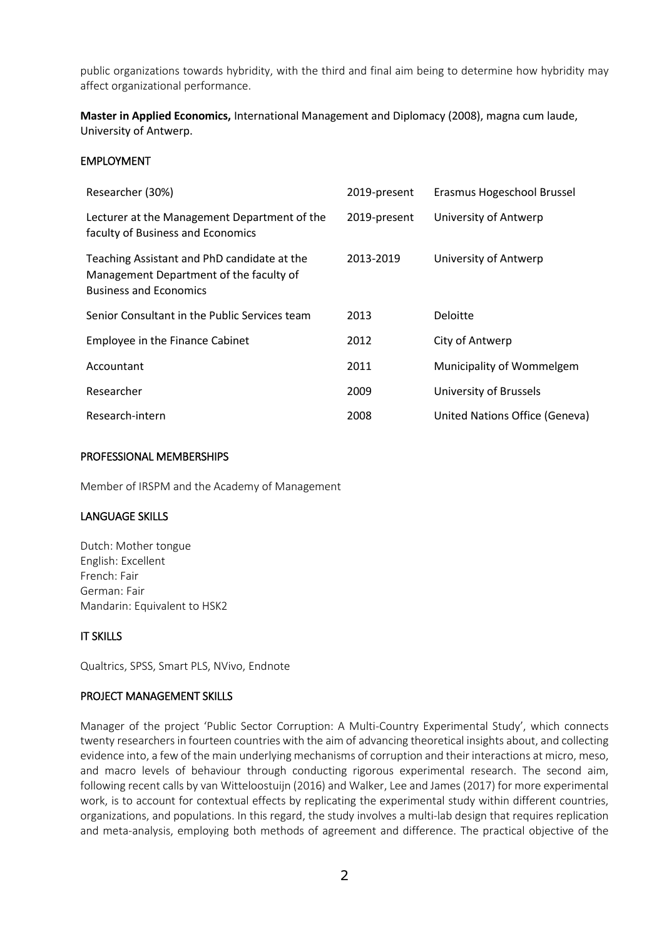public organizations towards hybridity, with the third and final aim being to determine how hybridity may affect organizational performance.

**Master in Applied Economics,** International Management and Diplomacy (2008), magna cum laude, University of Antwerp.

## EMPLOYMENT

| Researcher (30%)                                                                                                        | 2019-present | Erasmus Hogeschool Brussel     |
|-------------------------------------------------------------------------------------------------------------------------|--------------|--------------------------------|
| Lecturer at the Management Department of the<br>faculty of Business and Economics                                       | 2019-present | University of Antwerp          |
| Teaching Assistant and PhD candidate at the<br>Management Department of the faculty of<br><b>Business and Economics</b> | 2013-2019    | University of Antwerp          |
| Senior Consultant in the Public Services team                                                                           | 2013         | Deloitte                       |
| Employee in the Finance Cabinet                                                                                         | 2012         | City of Antwerp                |
| Accountant                                                                                                              | 2011         | Municipality of Wommelgem      |
| Researcher                                                                                                              | 2009         | University of Brussels         |
| Research-intern                                                                                                         | 2008         | United Nations Office (Geneva) |

## PROFESSIONAL MEMBERSHIPS

Member of IRSPM and the Academy of Management

## LANGUAGE SKILLS

Dutch: Mother tongue English: Excellent French: Fair German: Fair Mandarin: Equivalent to HSK2

# IT SKILLS

Qualtrics, SPSS, Smart PLS, NVivo, Endnote

## PROJECT MANAGEMENT SKILLS

Manager of the project 'Public Sector Corruption: A Multi-Country Experimental Study', which connects twenty researchers in fourteen countries with the aim of advancing theoretical insights about, and collecting evidence into, a few of the main underlying mechanisms of corruption and their interactions at micro, meso, and macro levels of behaviour through conducting rigorous experimental research. The second aim, following recent calls by van Witteloostuijn (2016) and Walker, Lee and James (2017) for more experimental work, is to account for contextual effects by replicating the experimental study within different countries, organizations, and populations. In this regard, the study involves a multi-lab design that requires replication and meta-analysis, employing both methods of agreement and difference. The practical objective of the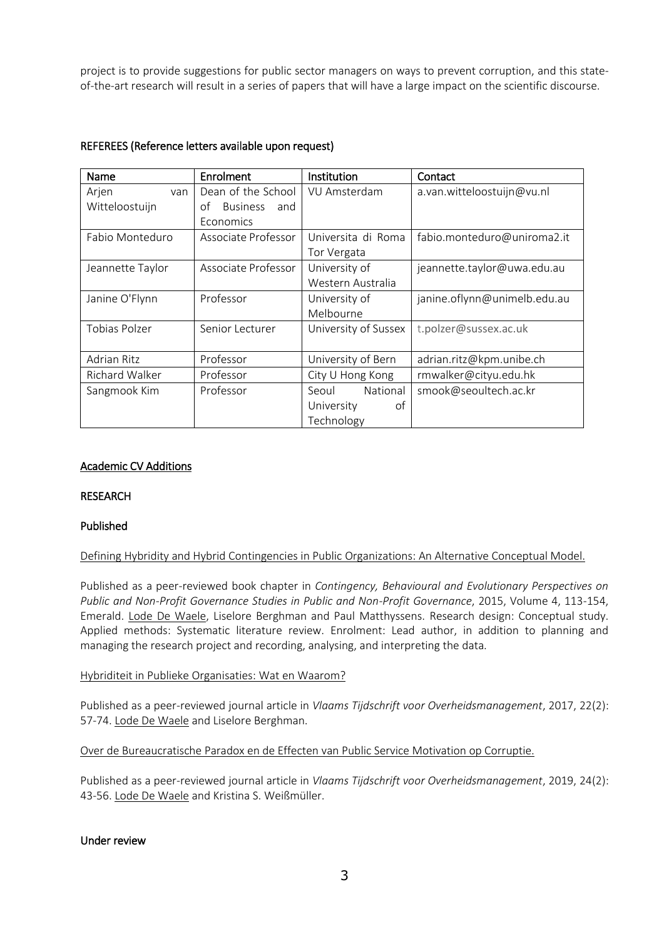project is to provide suggestions for public sector managers on ways to prevent corruption, and this stateof-the-art research will result in a series of papers that will have a large impact on the scientific discourse.

| Name               | Enrolment                    | Institution          | Contact                      |
|--------------------|------------------------------|----------------------|------------------------------|
| Arjen<br>van       | Dean of the School           | VU Amsterdam         | a.van.witteloostuijn@vu.nl   |
| Witteloostuijn     | <b>Business</b><br>οf<br>and |                      |                              |
|                    | Economics                    |                      |                              |
| Fabio Monteduro    | Associate Professor          | Universita di Roma   | fabio.monteduro@uniroma2.it  |
|                    |                              | Tor Vergata          |                              |
| Jeannette Taylor   | Associate Professor          | University of        | jeannette.taylor@uwa.edu.au  |
|                    |                              | Western Australia    |                              |
| Janine O'Flynn     | Professor                    | University of        | janine.oflynn@unimelb.edu.au |
|                    |                              | Melbourne            |                              |
| Tobias Polzer      | Senior Lecturer              | University of Sussex | t.polzer@sussex.ac.uk        |
|                    |                              |                      |                              |
| <b>Adrian Ritz</b> | Professor                    | University of Bern   | adrian.ritz@kpm.unibe.ch     |
| Richard Walker     | Professor                    | City U Hong Kong     | rmwalker@cityu.edu.hk        |
| Sangmook Kim       | Professor                    | National<br>Seoul    | smook@seoultech.ac.kr        |
|                    |                              | of<br>University     |                              |
|                    |                              | Technology           |                              |

# REFEREES (Reference letters available upon request)

## Academic CV Additions

# RESEARCH

## Published

## Defining Hybridity and Hybrid Contingencies in Public Organizations: An Alternative Conceptual Model.

Published as a peer-reviewed book chapter in *Contingency, Behavioural and Evolutionary Perspectives on Public and Non-Profit Governance Studies in Public and Non-Profit Governance*, 2015, Volume 4, 113-154, Emerald. Lode De Waele, Liselore Berghman and Paul Matthyssens. Research design: Conceptual study. Applied methods: Systematic literature review. Enrolment: Lead author, in addition to planning and managing the research project and recording, analysing, and interpreting the data.

#### Hybriditeit in Publieke Organisaties: Wat en Waarom?

Published as a peer-reviewed journal article in *Vlaams Tijdschrift voor Overheidsmanagement*, 2017, 22(2): 57-74. Lode De Waele and Liselore Berghman.

Over de Bureaucratische Paradox en de Effecten van Public Service Motivation op Corruptie.

Published as a peer-reviewed journal article in *Vlaams Tijdschrift voor Overheidsmanagement*, 2019, 24(2): 43-56. Lode De Waele and Kristina S. Weißmüller.

#### Under review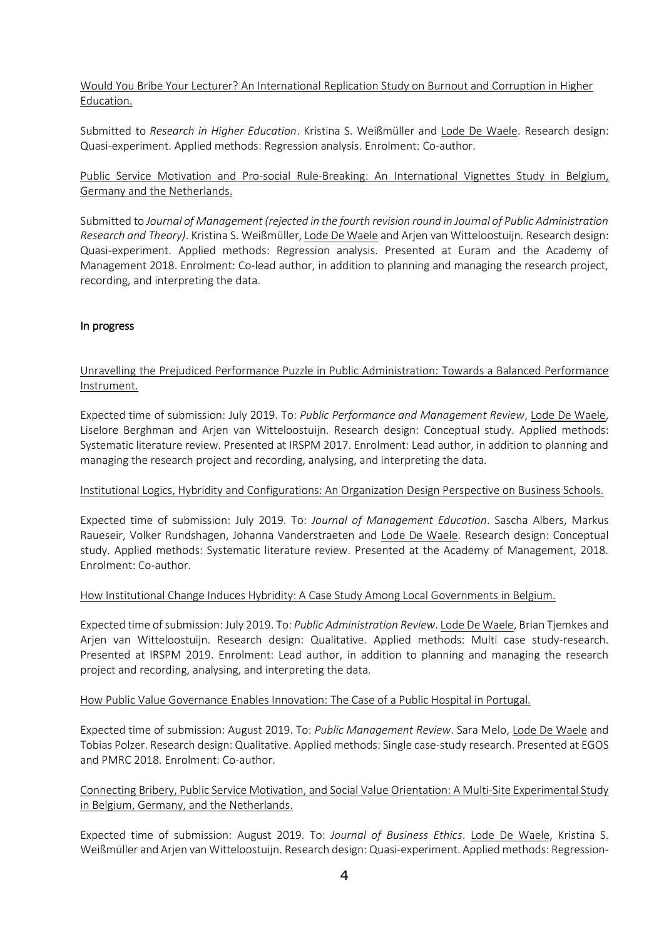Would You Bribe Your Lecturer? An International Replication Study on Burnout and Corruption in Higher Education.

Submitted to *Research in Higher Education*. Kristina S. Weißmüller and Lode De Waele. Research design: Quasi-experiment. Applied methods: Regression analysis. Enrolment: Co-author.

# Public Service Motivation and Pro-social Rule-Breaking: An International Vignettes Study in Belgium, Germany and the Netherlands.

Submitted to *Journal of Management (rejected in the fourth revision round in Journal of Public Administration Research and Theory)*. Kristina S. Weißmüller, Lode De Waele and Arjen van Witteloostuijn. Research design: Quasi-experiment. Applied methods: Regression analysis. Presented at Euram and the Academy of Management 2018. Enrolment: Co-lead author, in addition to planning and managing the research project, recording, and interpreting the data.

# In progress

# Unravelling the Prejudiced Performance Puzzle in Public Administration: Towards a Balanced Performance Instrument.

Expected time of submission: July 2019. To: *Public Performance and Management Review*, Lode De Waele, Liselore Berghman and Arjen van Witteloostuijn. Research design: Conceptual study. Applied methods: Systematic literature review. Presented at IRSPM 2017. Enrolment: Lead author, in addition to planning and managing the research project and recording, analysing, and interpreting the data.

## Institutional Logics, Hybridity and Configurations: An Organization Design Perspective on Business Schools.

Expected time of submission: July 2019. To: *Journal of Management Education*. Sascha Albers, Markus Raueseir, Volker Rundshagen, Johanna Vanderstraeten and Lode De Waele. Research design: Conceptual study. Applied methods: Systematic literature review. Presented at the Academy of Management, 2018. Enrolment: Co-author.

## How Institutional Change Induces Hybridity: A Case Study Among Local Governments in Belgium.

Expected time of submission: July 2019. To: *Public Administration Review*. Lode De Waele, Brian Tjemkes and Arjen van Witteloostuijn. Research design: Qualitative. Applied methods: Multi case study-research. Presented at IRSPM 2019. Enrolment: Lead author, in addition to planning and managing the research project and recording, analysing, and interpreting the data.

## How Public Value Governance Enables Innovation: The Case of a Public Hospital in Portugal.

Expected time of submission: August 2019. To: *Public Management Review*. Sara Melo, Lode De Waele and Tobias Polzer. Research design: Qualitative. Applied methods: Single case-study research. Presented at EGOS and PMRC 2018. Enrolment: Co-author.

# Connecting Bribery, Public Service Motivation, and Social Value Orientation: A Multi-Site Experimental Study in Belgium, Germany, and the Netherlands.

Expected time of submission: August 2019. To: *Journal of Business Ethics*. Lode De Waele, Kristina S. Weißmüller and Arjen van Witteloostuijn. Research design: Quasi-experiment. Applied methods: Regression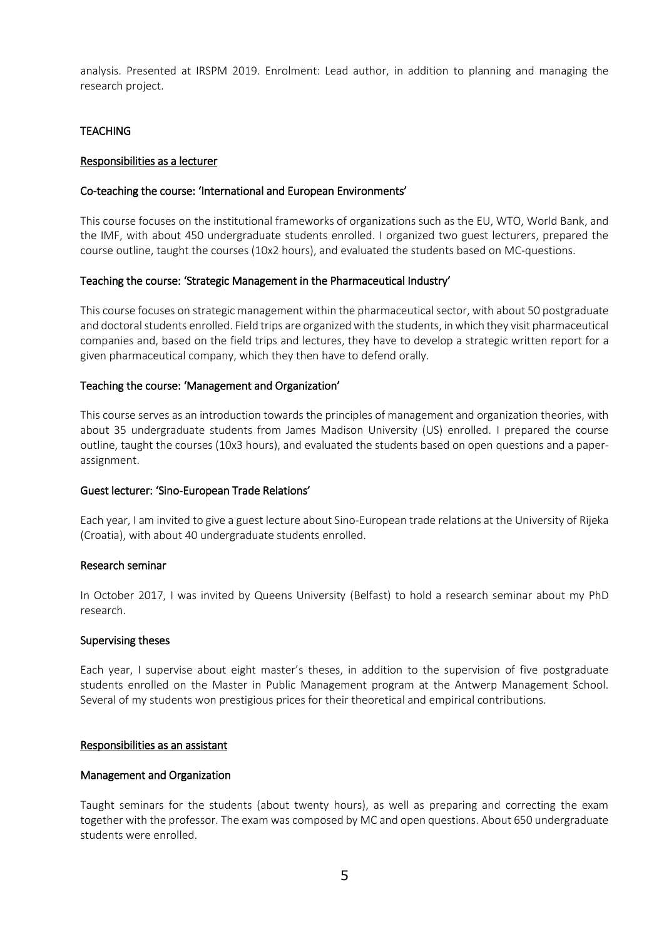analysis. Presented at IRSPM 2019. Enrolment: Lead author, in addition to planning and managing the research project.

# **TEACHING**

## Responsibilities as a lecturer

#### Co-teaching the course: 'International and European Environments'

This course focuses on the institutional frameworks of organizations such as the EU, WTO, World Bank, and the IMF, with about 450 undergraduate students enrolled. I organized two guest lecturers, prepared the course outline, taught the courses (10x2 hours), and evaluated the students based on MC-questions.

#### Teaching the course: 'Strategic Management in the Pharmaceutical Industry'

This course focuses on strategic management within the pharmaceutical sector, with about 50 postgraduate and doctoral students enrolled. Field trips are organized with the students, in which they visit pharmaceutical companies and, based on the field trips and lectures, they have to develop a strategic written report for a given pharmaceutical company, which they then have to defend orally.

#### Teaching the course: 'Management and Organization'

This course serves as an introduction towards the principles of management and organization theories, with about 35 undergraduate students from James Madison University (US) enrolled. I prepared the course outline, taught the courses (10x3 hours), and evaluated the students based on open questions and a paperassignment.

## Guest lecturer: 'Sino-European Trade Relations'

Each year, I am invited to give a guest lecture about Sino-European trade relations at the University of Rijeka (Croatia), with about 40 undergraduate students enrolled.

#### Research seminar

In October 2017, I was invited by Queens University (Belfast) to hold a research seminar about my PhD research.

#### Supervising theses

Each year, I supervise about eight master's theses, in addition to the supervision of five postgraduate students enrolled on the Master in Public Management program at the Antwerp Management School. Several of my students won prestigious prices for their theoretical and empirical contributions.

#### Responsibilities as an assistant

#### Management and Organization

Taught seminars for the students (about twenty hours), as well as preparing and correcting the exam together with the professor. The exam was composed by MC and open questions. About 650 undergraduate students were enrolled.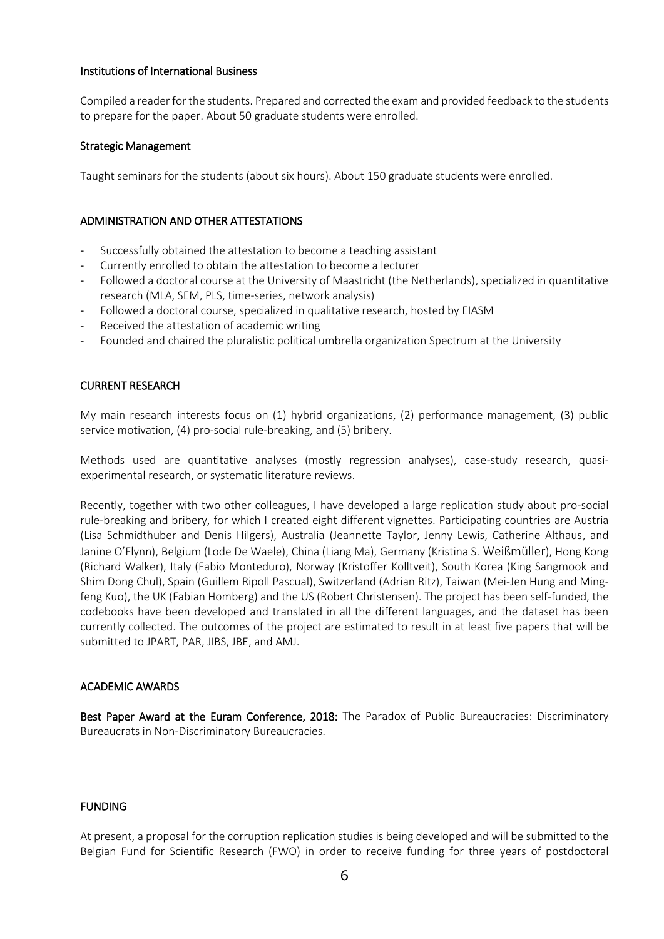## Institutions of International Business

Compiled a reader for the students. Prepared and corrected the exam and provided feedback to the students to prepare for the paper. About 50 graduate students were enrolled.

## Strategic Management

Taught seminars for the students (about six hours). About 150 graduate students were enrolled.

# ADMINISTRATION AND OTHER ATTESTATIONS

- Successfully obtained the attestation to become a teaching assistant
- Currently enrolled to obtain the attestation to become a lecturer
- Followed a doctoral course at the University of Maastricht (the Netherlands), specialized in quantitative research (MLA, SEM, PLS, time-series, network analysis)
- Followed a doctoral course, specialized in qualitative research, hosted by EIASM
- Received the attestation of academic writing
- Founded and chaired the pluralistic political umbrella organization Spectrum at the University

# CURRENT RESEARCH

My main research interests focus on (1) hybrid organizations, (2) performance management, (3) public service motivation, (4) pro-social rule-breaking, and (5) bribery.

Methods used are quantitative analyses (mostly regression analyses), case-study research, quasiexperimental research, or systematic literature reviews.

Recently, together with two other colleagues, I have developed a large replication study about pro-social rule-breaking and bribery, for which I created eight different vignettes. Participating countries are Austria (Lisa Schmidthuber and Denis Hilgers), Australia (Jeannette Taylor, Jenny Lewis, Catherine Althaus, and Janine O'Flynn), Belgium (Lode De Waele), China (Liang Ma), Germany (Kristina S. Weißmüller), Hong Kong (Richard Walker), Italy (Fabio Monteduro), Norway (Kristoffer Kolltveit), South Korea (King Sangmook and Shim Dong Chul), Spain (Guillem Ripoll Pascual), Switzerland (Adrian Ritz), Taiwan (Mei-Jen Hung and Mingfeng Kuo), the UK (Fabian Homberg) and the US (Robert Christensen). The project has been self-funded, the codebooks have been developed and translated in all the different languages, and the dataset has been currently collected. The outcomes of the project are estimated to result in at least five papers that will be submitted to JPART, PAR, JIBS, JBE, and AMJ.

## ACADEMIC AWARDS

Best Paper Award at the Euram Conference, 2018: The Paradox of Public Bureaucracies: Discriminatory Bureaucrats in Non-Discriminatory Bureaucracies.

## FUNDING

At present, a proposal for the corruption replication studies is being developed and will be submitted to the Belgian Fund for Scientific Research (FWO) in order to receive funding for three years of postdoctoral